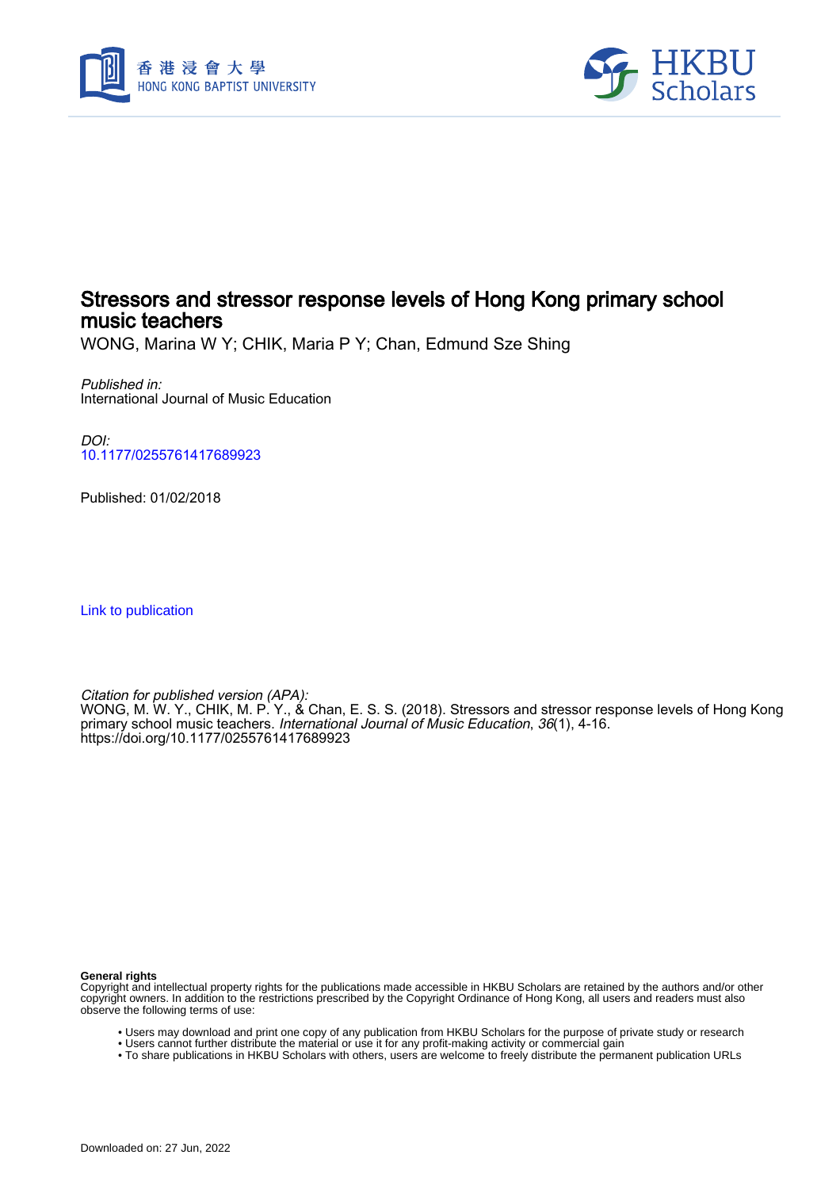



# Stressors and stressor response levels of Hong Kong primary school music teachers

WONG, Marina W Y; CHIK, Maria P Y; Chan, Edmund Sze Shing

Published in: International Journal of Music Education

DOI: [10.1177/0255761417689923](https://doi.org/10.1177/0255761417689923)

Published: 01/02/2018

[Link to publication](https://scholars.hkbu.edu.hk/en/publications/28b4a185-2547-40d6-b85d-8da68aff0385)

Citation for published version (APA): WONG, M. W. Y., CHIK, M. P. Y., & Chan, E. S. S. (2018). Stressors and stressor response levels of Hong Kong primary school music teachers. *International Journal of Music Education, 36*(1), 4-16. <https://doi.org/10.1177/0255761417689923>

**General rights**

Copyright and intellectual property rights for the publications made accessible in HKBU Scholars are retained by the authors and/or other copyright owners. In addition to the restrictions prescribed by the Copyright Ordinance of Hong Kong, all users and readers must also observe the following terms of use:

- Users may download and print one copy of any publication from HKBU Scholars for the purpose of private study or research
- Users cannot further distribute the material or use it for any profit-making activity or commercial gain
- To share publications in HKBU Scholars with others, users are welcome to freely distribute the permanent publication URLs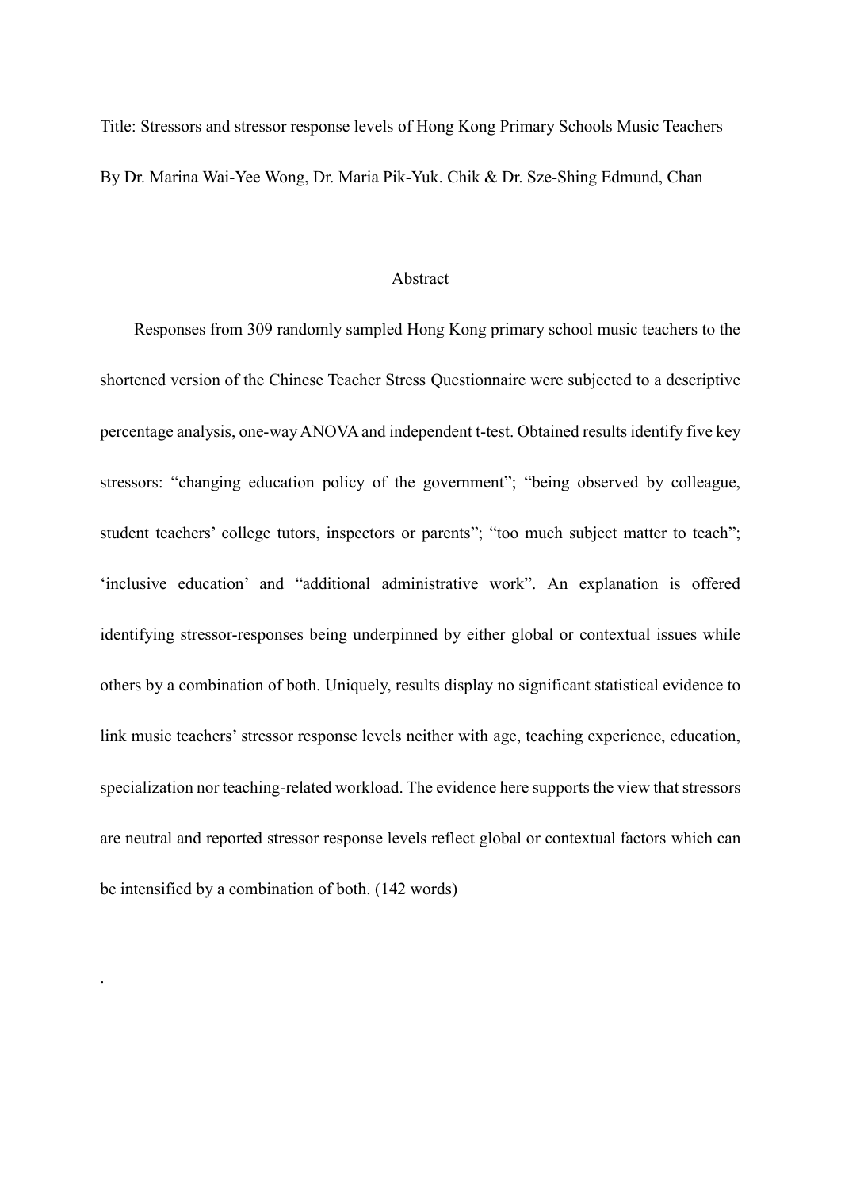Title: Stressors and stressor response levels of Hong Kong Primary Schools Music Teachers By Dr. Marina Wai-Yee Wong, Dr. Maria Pik-Yuk. Chik & Dr. Sze-Shing Edmund, Chan

#### Abstract

Responses from 309 randomly sampled Hong Kong primary school music teachers to the shortened version of the Chinese Teacher Stress Questionnaire were subjected to a descriptive percentage analysis, one-way ANOVA and independent t-test. Obtained results identify five key stressors: "changing education policy of the government"; "being observed by colleague, student teachers' college tutors, inspectors or parents"; "too much subject matter to teach"; 'inclusive education' and "additional administrative work". An explanation is offered identifying stressor-responses being underpinned by either global or contextual issues while others by a combination of both. Uniquely, results display no significant statistical evidence to link music teachers' stressor response levels neither with age, teaching experience, education, specialization nor teaching-related workload. The evidence here supports the view that stressors are neutral and reported stressor response levels reflect global or contextual factors which can be intensified by a combination of both. (142 words)

.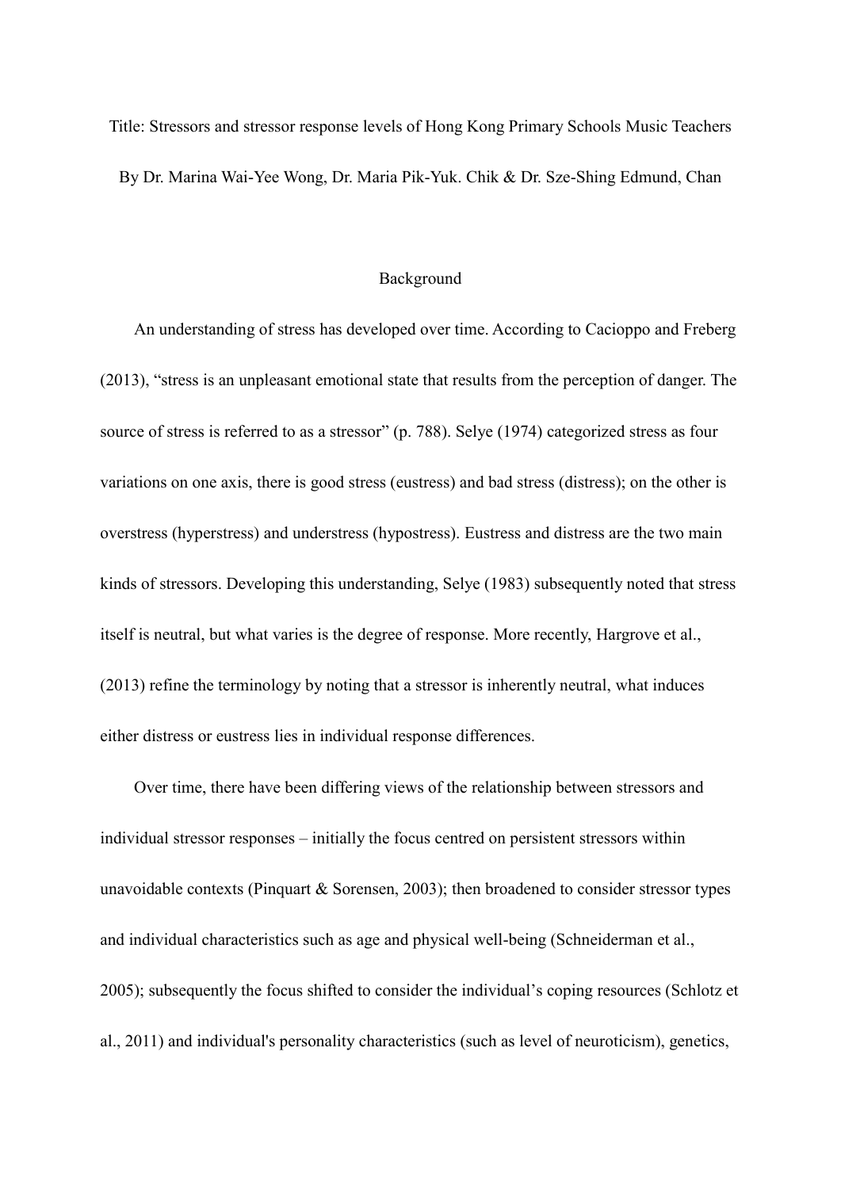Title: Stressors and stressor response levels of Hong Kong Primary Schools Music Teachers By Dr. Marina Wai-Yee Wong, Dr. Maria Pik-Yuk. Chik & Dr. Sze-Shing Edmund, Chan

### Background

An understanding of stress has developed over time. According to Cacioppo and Freberg (2013), "stress is an unpleasant emotional state that results from the perception of danger. The source of stress is referred to as a stressor" (p. 788). Selye (1974) categorized stress as four variations on one axis, there is good stress (eustress) and bad stress (distress); on the other is overstress (hyperstress) and understress (hypostress). Eustress and distress are the two main kinds of stressors. Developing this understanding, Selye (1983) subsequently noted that stress itself is neutral, but what varies is the degree of response. More recently, Hargrove et al., (2013) refine the terminology by noting that a stressor is inherently neutral, what induces either distress or eustress lies in individual response differences.

Over time, there have been differing views of the relationship between stressors and individual stressor responses – initially the focus centred on persistent stressors within unavoidable contexts (Pinquart & Sorensen, 2003); then broadened to consider stressor types and individual characteristics such as age and physical well-being (Schneiderman et al., 2005); subsequently the focus shifted to consider the individual's coping resources (Schlotz et al., 2011) and individual's personality characteristics (such as level of neuroticism), genetics,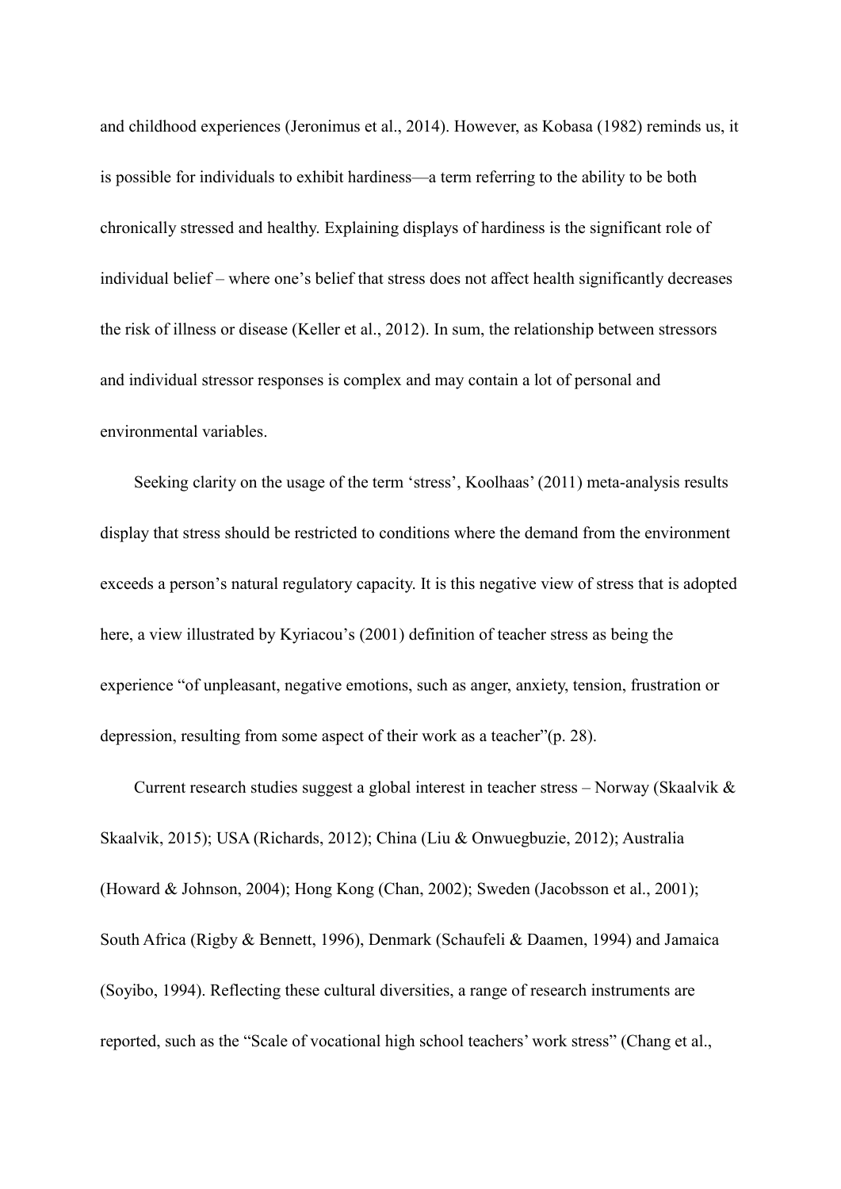and childhood experiences (Jeronimus et al., 2014). However, as Kobasa (1982) reminds us, it is possible for individuals to exhibit hardiness—a term referring to the ability to be both chronically stressed and healthy. Explaining displays of hardiness is the significant role of individual belief – where one's belief that stress does not affect health significantly decreases the risk of illness or disease (Keller et al., 2012). In sum, the relationship between stressors and individual stressor responses is complex and may contain a lot of personal and environmental variables.

Seeking clarity on the usage of the term 'stress', Koolhaas' (2011) meta-analysis results display that stress should be restricted to conditions where the demand from the environment exceeds a person's natural regulatory capacity. It is this negative view of stress that is adopted here, a view illustrated by Kyriacou's (2001) definition of teacher stress as being the experience "of unpleasant, negative emotions, such as anger, anxiety, tension, frustration or depression, resulting from some aspect of their work as a teacher"(p. 28).

Current research studies suggest a global interest in teacher stress – Norway (Skaalvik & Skaalvik, 2015); USA (Richards, 2012); China (Liu & Onwuegbuzie, 2012); Australia (Howard & Johnson, 2004); Hong Kong (Chan, 2002); Sweden (Jacobsson et al., 2001); South Africa (Rigby & Bennett, 1996), Denmark (Schaufeli & Daamen, 1994) and Jamaica (Soyibo, 1994). Reflecting these cultural diversities, a range of research instruments are reported, such as the "Scale of vocational high school teachers' work stress" (Chang et al.,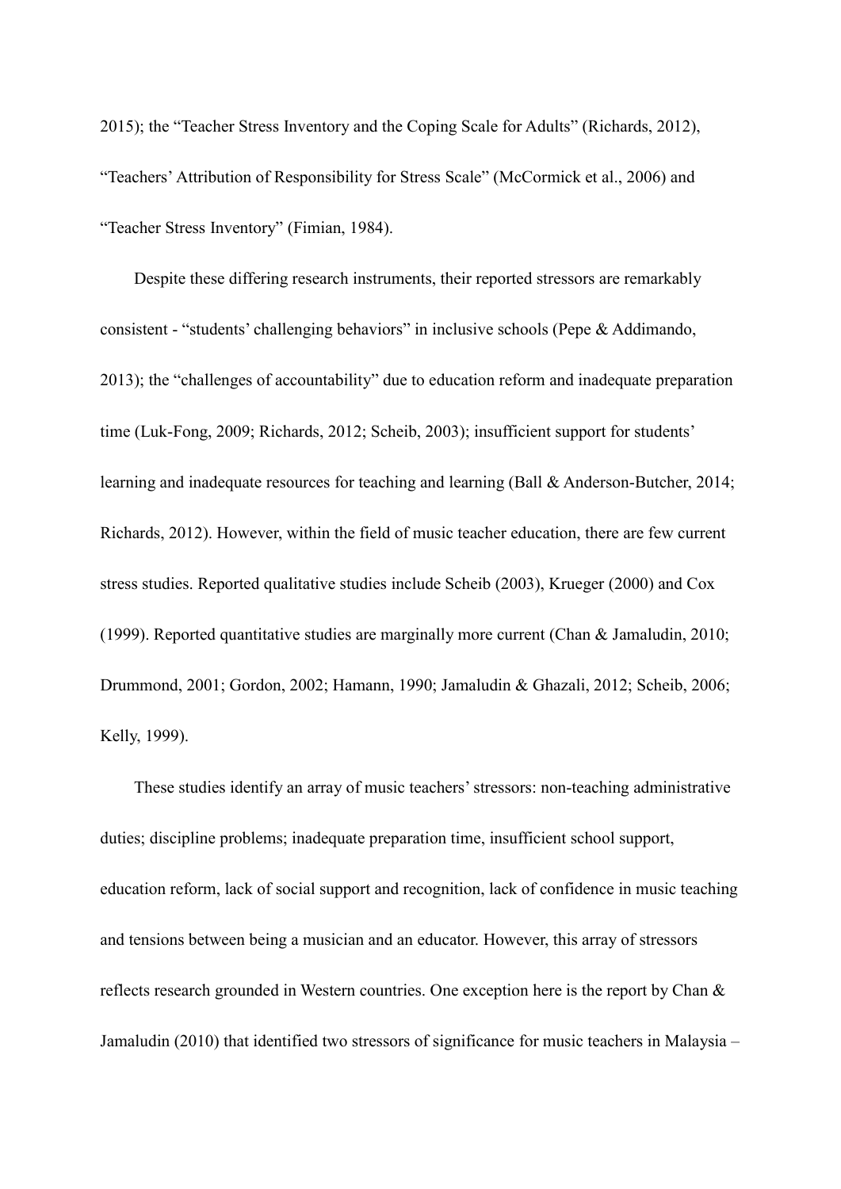2015); the "Teacher Stress Inventory and the Coping Scale for Adults" (Richards, 2012), "Teachers' Attribution of Responsibility for Stress Scale" (McCormick et al., 2006) and "Teacher Stress Inventory" (Fimian, 1984).

Despite these differing research instruments, their reported stressors are remarkably consistent - "students' challenging behaviors" in inclusive schools (Pepe & Addimando, 2013); the "challenges of accountability" due to education reform and inadequate preparation time (Luk-Fong, 2009; Richards, 2012; Scheib, 2003); insufficient support for students' learning and inadequate resources for teaching and learning (Ball & Anderson-Butcher, 2014; Richards, 2012). However, within the field of music teacher education, there are few current stress studies. Reported qualitative studies include Scheib (2003), Krueger (2000) and Cox (1999). Reported quantitative studies are marginally more current (Chan & Jamaludin, 2010; Drummond, 2001; Gordon, 2002; Hamann, 1990; Jamaludin & Ghazali, 2012; Scheib, 2006; Kelly, 1999).

These studies identify an array of music teachers' stressors: non-teaching administrative duties; discipline problems; inadequate preparation time, insufficient school support, education reform, lack of social support and recognition, lack of confidence in music teaching and tensions between being a musician and an educator. However, this array of stressors reflects research grounded in Western countries. One exception here is the report by Chan & Jamaludin (2010) that identified two stressors of significance for music teachers in Malaysia –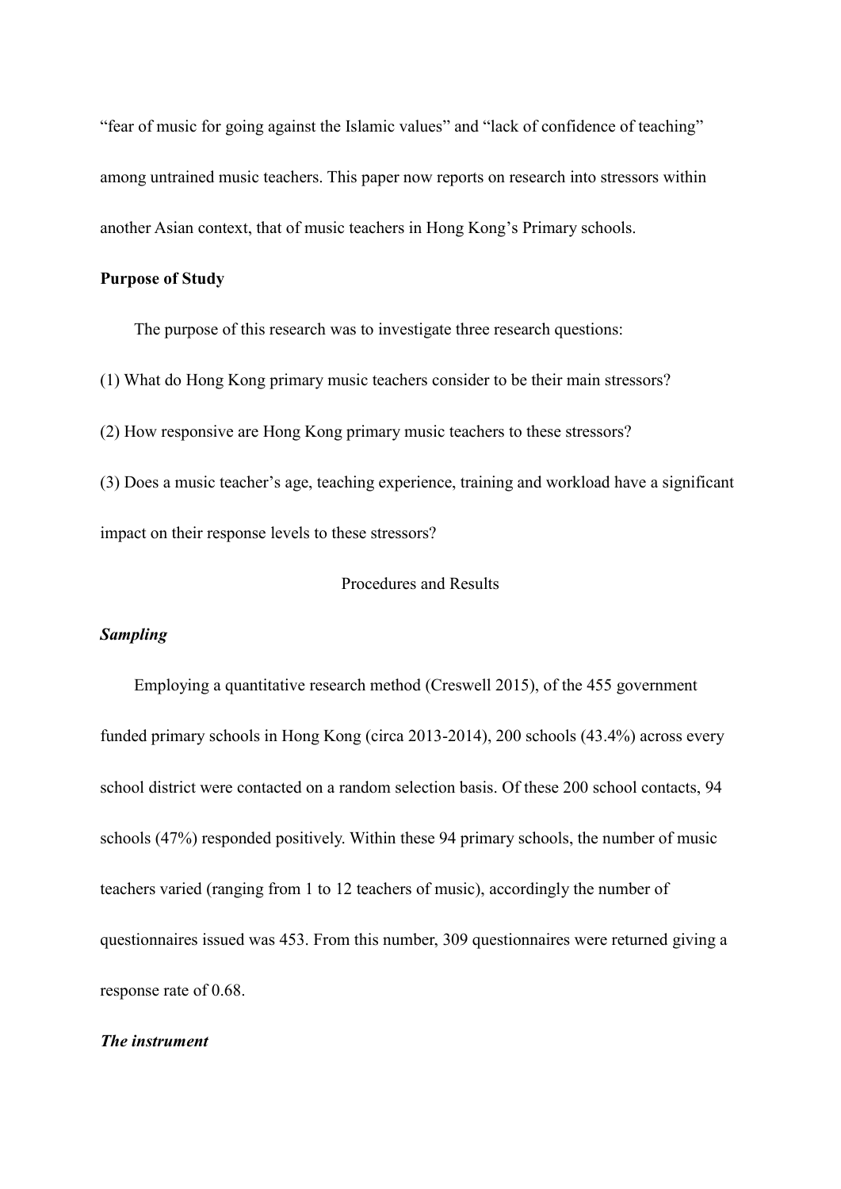"fear of music for going against the Islamic values" and "lack of confidence of teaching" among untrained music teachers. This paper now reports on research into stressors within another Asian context, that of music teachers in Hong Kong's Primary schools.

# **Purpose of Study**

The purpose of this research was to investigate three research questions:

(1) What do Hong Kong primary music teachers consider to be their main stressors?

(2) How responsive are Hong Kong primary music teachers to these stressors?

(3) Does a music teacher's age, teaching experience, training and workload have a significant impact on their response levels to these stressors?

## Procedures and Results

## *Sampling*

Employing a quantitative research method (Creswell 2015), of the 455 government funded primary schools in Hong Kong (circa 2013-2014), 200 schools (43.4%) across every school district were contacted on a random selection basis. Of these 200 school contacts, 94 schools (47%) responded positively. Within these 94 primary schools, the number of music teachers varied (ranging from 1 to 12 teachers of music), accordingly the number of questionnaires issued was 453. From this number, 309 questionnaires were returned giving a response rate of 0.68.

## *The instrument*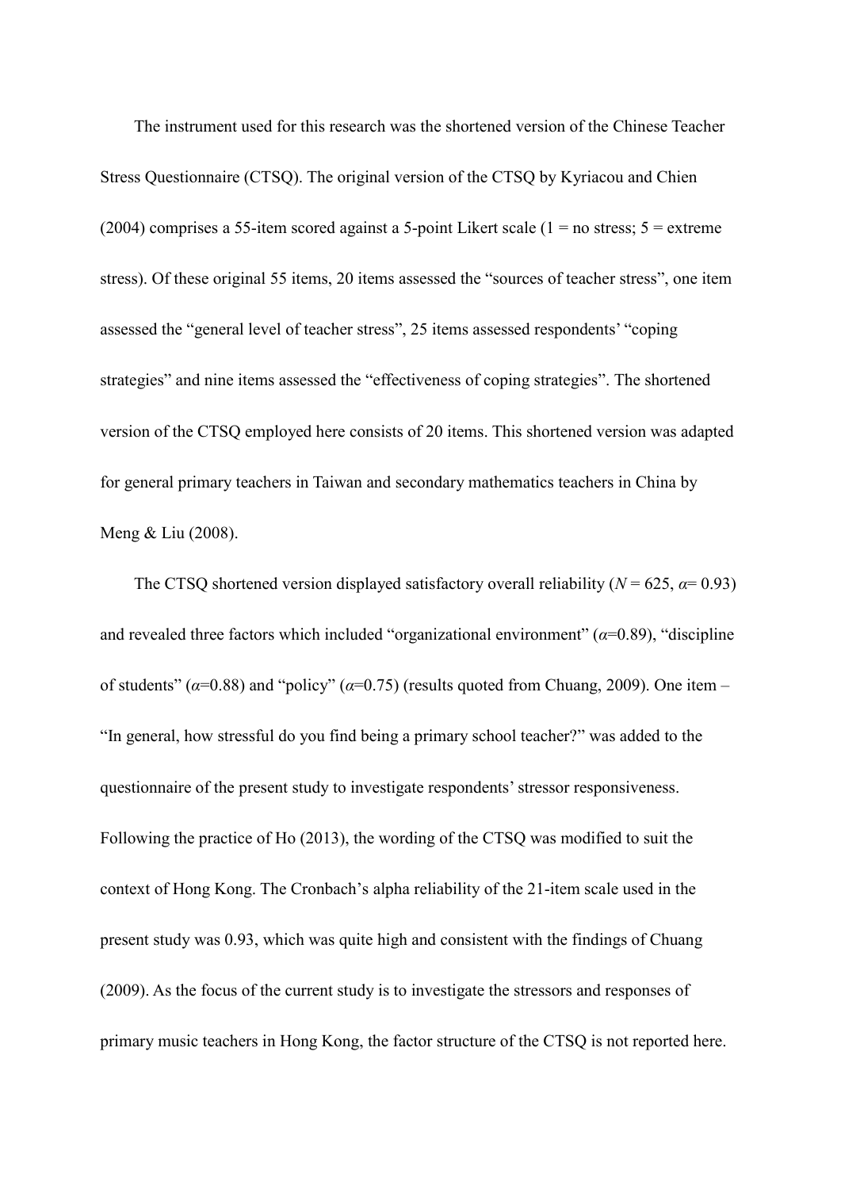The instrument used for this research was the shortened version of the Chinese Teacher Stress Questionnaire (CTSQ). The original version of the CTSQ by Kyriacou and Chien (2004) comprises a 55-item scored against a 5-point Likert scale ( $1 =$  no stress;  $5 =$  extreme stress). Of these original 55 items, 20 items assessed the "sources of teacher stress", one item assessed the "general level of teacher stress", 25 items assessed respondents' "coping strategies" and nine items assessed the "effectiveness of coping strategies". The shortened version of the CTSQ employed here consists of 20 items. This shortened version was adapted for general primary teachers in Taiwan and secondary mathematics teachers in China by Meng & Liu (2008).

The CTSQ shortened version displayed satisfactory overall reliability ( $N = 625$ ,  $\alpha = 0.93$ ) and revealed three factors which included "organizational environment"  $(\alpha=0.89)$ , "discipline" of students" (*α*=0.88) and "policy" (*α*=0.75) (results quoted from Chuang, 2009). One item – "In general, how stressful do you find being a primary school teacher?" was added to the questionnaire of the present study to investigate respondents' stressor responsiveness. Following the practice of Ho (2013), the wording of the CTSQ was modified to suit the context of Hong Kong. The Cronbach's alpha reliability of the 21-item scale used in the present study was 0.93, which was quite high and consistent with the findings of Chuang (2009). As the focus of the current study is to investigate the stressors and responses of primary music teachers in Hong Kong, the factor structure of the CTSQ is not reported here.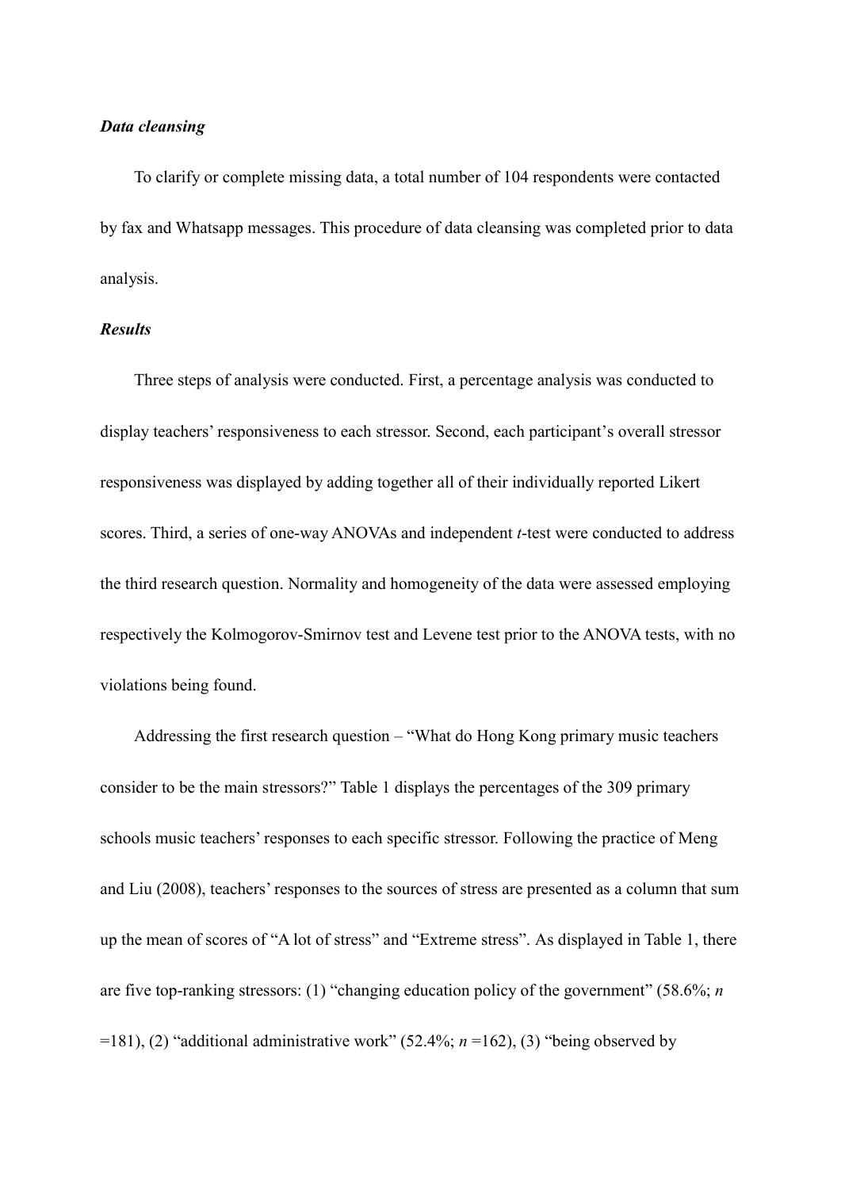## *Data cleansing*

To clarify or complete missing data, a total number of 104 respondents were contacted by fax and Whatsapp messages. This procedure of data cleansing was completed prior to data analysis.

## *Results*

Three steps of analysis were conducted. First, a percentage analysis was conducted to display teachers' responsiveness to each stressor. Second, each participant's overall stressor responsiveness was displayed by adding together all of their individually reported Likert scores. Third, a series of one-way ANOVAs and independent *t*-test were conducted to address the third research question. Normality and homogeneity of the data were assessed employing respectively the Kolmogorov-Smirnov test and Levene test prior to the ANOVA tests, with no violations being found.

Addressing the first research question – "What do Hong Kong primary music teachers consider to be the main stressors?" Table 1 displays the percentages of the 309 primary schools music teachers' responses to each specific stressor. Following the practice of Meng and Liu (2008), teachers' responses to the sources of stress are presented as a column that sum up the mean of scores of "A lot of stress" and "Extreme stress". As displayed in Table 1, there are five top-ranking stressors: (1) "changing education policy of the government" (58.6%; *n* =181), (2) "additional administrative work" (52.4%; *n* =162), (3) "being observed by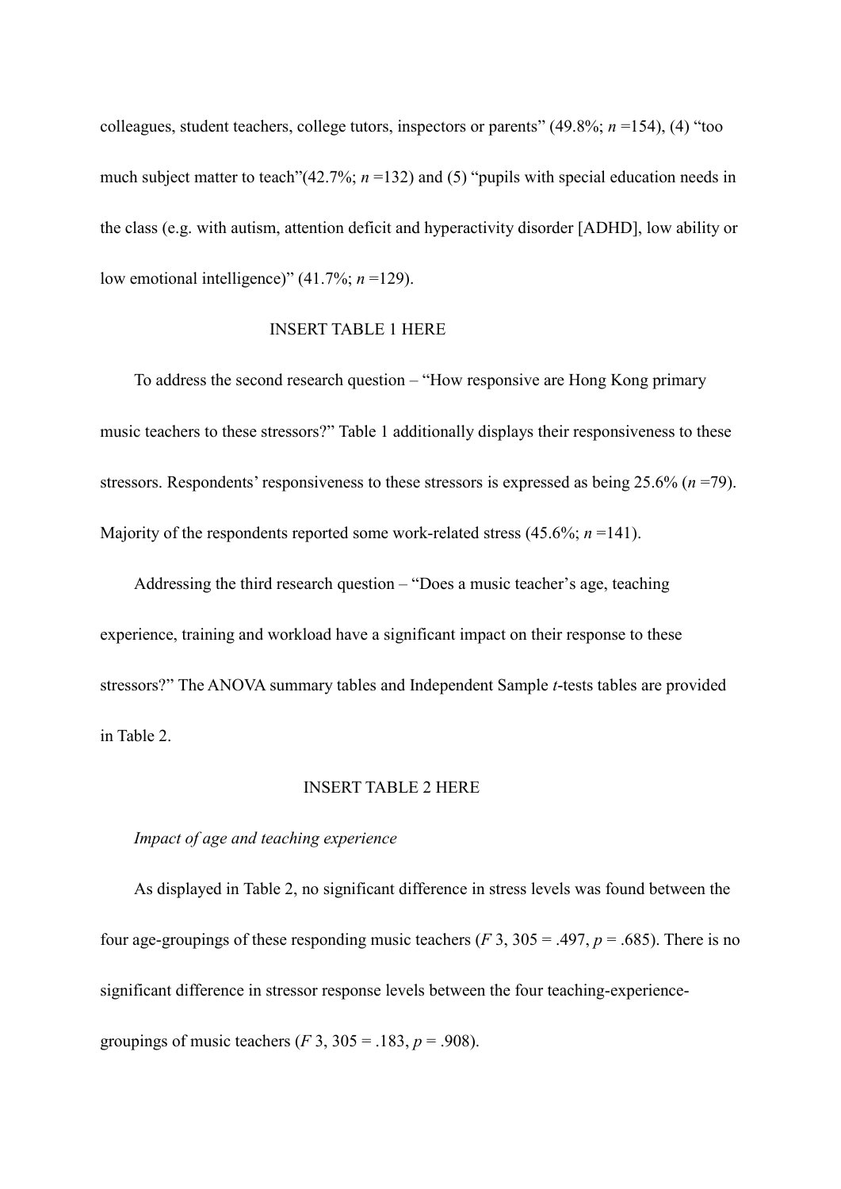colleagues, student teachers, college tutors, inspectors or parents" (49.8%; *n* =154), (4) "too much subject matter to teach"(42.7%; *n* =132) and (5) "pupils with special education needs in the class (e.g. with autism, attention deficit and hyperactivity disorder [ADHD], low ability or low emotional intelligence)" (41.7%; *n* =129).

#### INSERT TABLE 1 HERE

To address the second research question – "How responsive are Hong Kong primary music teachers to these stressors?" Table 1 additionally displays their responsiveness to these stressors. Respondents' responsiveness to these stressors is expressed as being 25.6% (*n* =79). Majority of the respondents reported some work-related stress  $(45.6\%; n = 141)$ .

Addressing the third research question – "Does a music teacher's age, teaching experience, training and workload have a significant impact on their response to these stressors?" The ANOVA summary tables and Independent Sample *t*-tests tables are provided in Table 2.

# INSERT TABLE 2 HERE

## *Impact of age and teaching experience*

As displayed in Table 2, no significant difference in stress levels was found between the four age-groupings of these responding music teachers ( $F$  3, 305 = .497,  $p = .685$ ). There is no significant difference in stressor response levels between the four teaching-experiencegroupings of music teachers (*F* 3, 305 = .183, *p* = .908).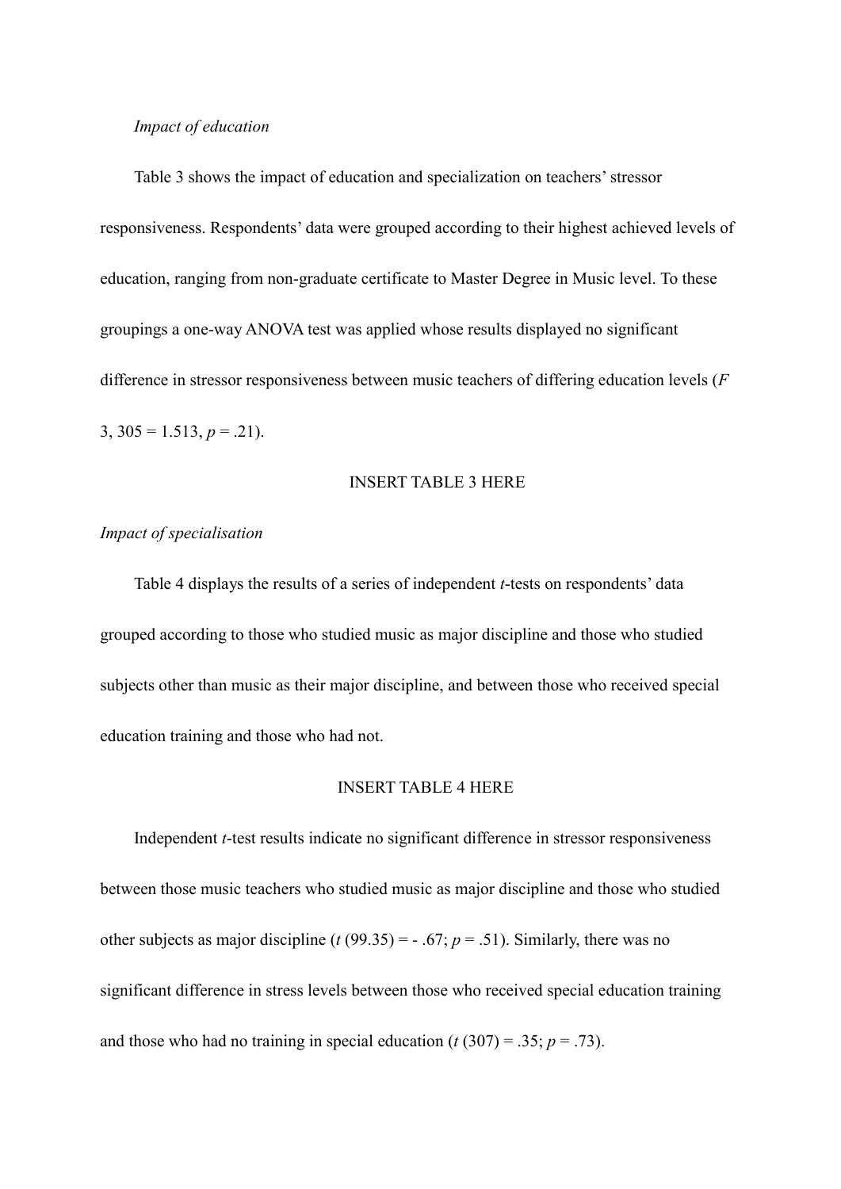## *Impact of education*

Table 3 shows the impact of education and specialization on teachers' stressor responsiveness. Respondents' data were grouped according to their highest achieved levels of education, ranging from non-graduate certificate to Master Degree in Music level. To these groupings a one-way ANOVA test was applied whose results displayed no significant difference in stressor responsiveness between music teachers of differing education levels (*F* 3,  $305 = 1.513$ ,  $p = .21$ ).

### INSERT TABLE 3 HERE

# *Impact of specialisation*

Table 4 displays the results of a series of independent *t*-tests on respondents' data grouped according to those who studied music as major discipline and those who studied subjects other than music as their major discipline, and between those who received special education training and those who had not.

## INSERT TABLE 4 HERE

Independent *t*-test results indicate no significant difference in stressor responsiveness between those music teachers who studied music as major discipline and those who studied other subjects as major discipline ( $t$  (99.35) = - .67;  $p = .51$ ). Similarly, there was no significant difference in stress levels between those who received special education training and those who had no training in special education  $(t(307) = .35; p = .73)$ .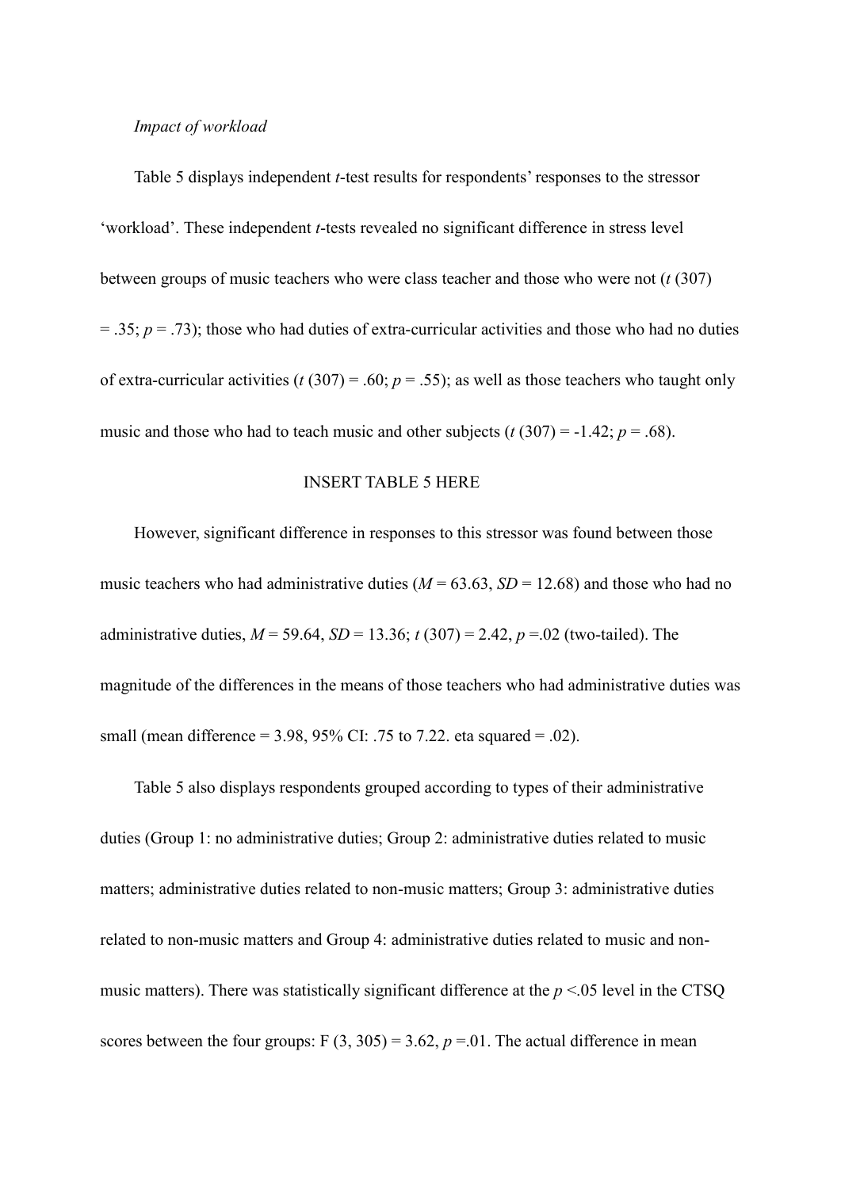## *Impact of workload*

Table 5 displays independent *t*-test results for respondents' responses to the stressor 'workload'. These independent *t*-tests revealed no significant difference in stress level between groups of music teachers who were class teacher and those who were not (*t* (307) = .35; *p* = .73); those who had duties of extra-curricular activities and those who had no duties of extra-curricular activities ( $t(307) = .60$ ;  $p = .55$ ); as well as those teachers who taught only music and those who had to teach music and other subjects  $(t (307) = -1.42; p = .68)$ .

## INSERT TABLE 5 HERE

However, significant difference in responses to this stressor was found between those music teachers who had administrative duties  $(M = 63.63, SD = 12.68)$  and those who had no administrative duties, *M* = 59.64, *SD* = 13.36; *t* (307) = 2.42, *p* =.02 (two-tailed). The magnitude of the differences in the means of those teachers who had administrative duties was small (mean difference =  $3.98, 95\%$  CI: .75 to 7.22. eta squared = .02).

Table 5 also displays respondents grouped according to types of their administrative duties (Group 1: no administrative duties; Group 2: administrative duties related to music matters; administrative duties related to non-music matters; Group 3: administrative duties related to non-music matters and Group 4: administrative duties related to music and nonmusic matters). There was statistically significant difference at the *p* <.05 level in the CTSQ scores between the four groups:  $F(3, 305) = 3.62$ ,  $p = 0.01$ . The actual difference in mean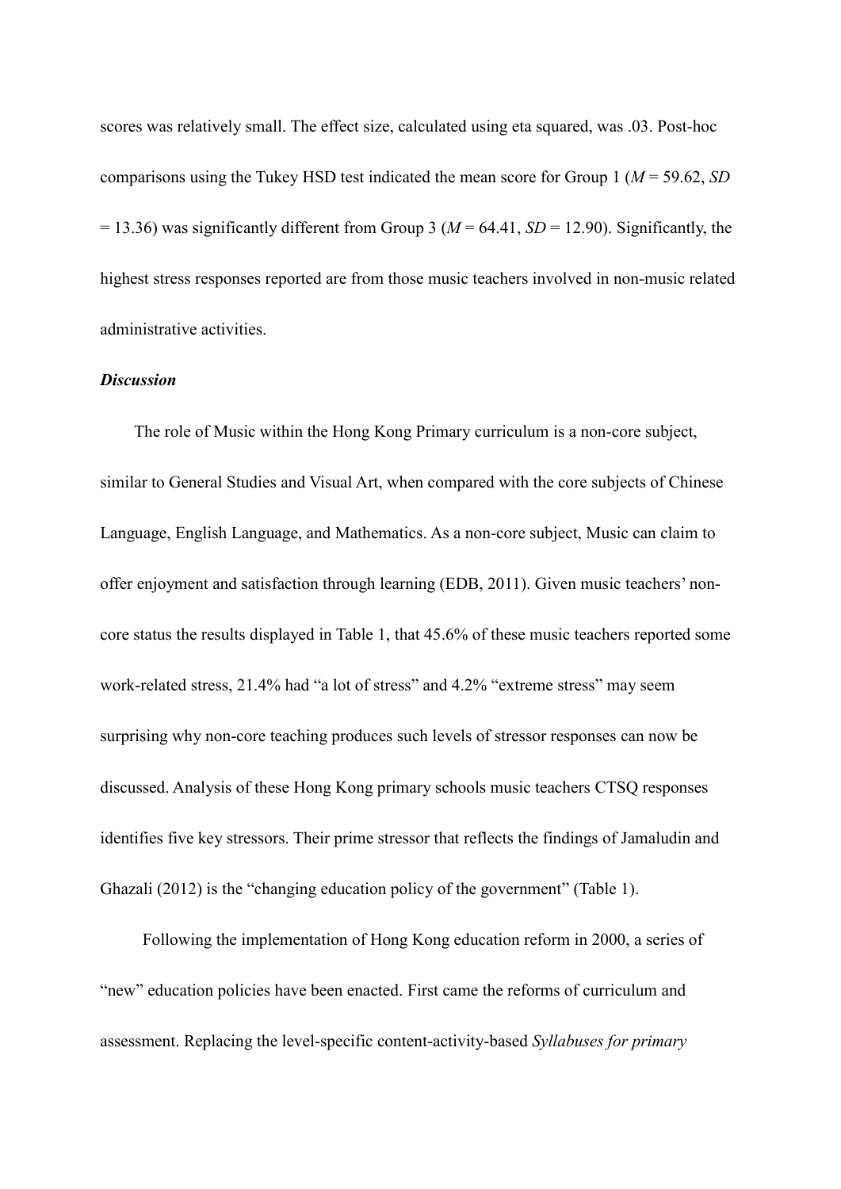scores was relatively small. The effect size, calculated using eta squared, was .03. Post-hoc comparisons using the Tukey HSD test indicated the mean score for Group 1 (*M* = 59.62, *SD*   $= 13.36$ ) was significantly different from Group 3 ( $M = 64.41$ ,  $SD = 12.90$ ). Significantly, the highest stress responses reported are from those music teachers involved in non-music related administrative activities.

# *Discussion*

The role of Music within the Hong Kong Primary curriculum is a non-core subject, similar to General Studies and Visual Art, when compared with the core subjects of Chinese Language, English Language, and Mathematics. As a non-core subject, Music can claim to offer enjoyment and satisfaction through learning (EDB, 2011). Given music teachers' noncore status the results displayed in Table 1, that 45.6% of these music teachers reported some work-related stress, 21.4% had "a lot of stress" and 4.2% "extreme stress" may seem surprising why non-core teaching produces such levels of stressor responses can now be discussed. Analysis of these Hong Kong primary schools music teachers CTSQ responses identifies five key stressors. Their prime stressor that reflects the findings of Jamaludin and Ghazali (2012) is the "changing education policy of the government" (Table 1).

Following the implementation of Hong Kong education reform in 2000, a series of "new" education policies have been enacted. First came the reforms of curriculum and assessment. Replacing the level-specific content-activity-based *Syllabuses for primary*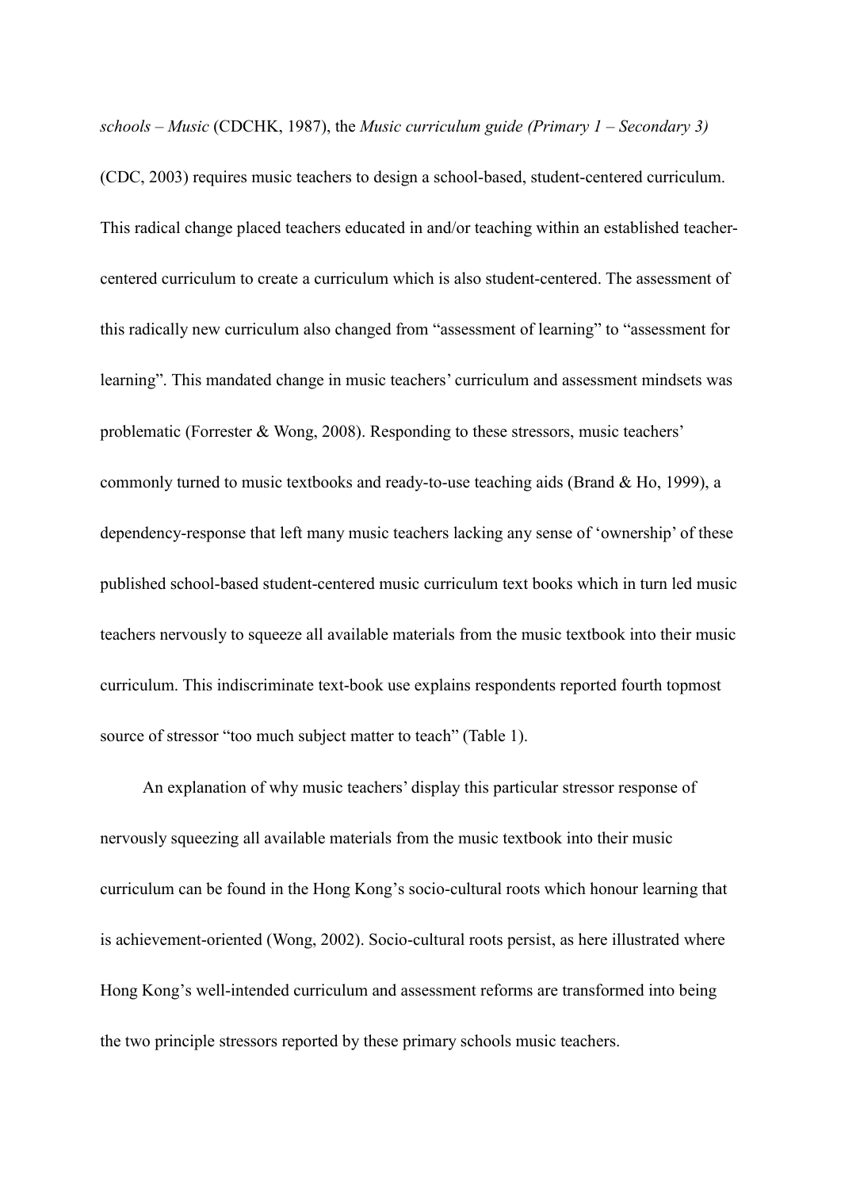*schools – Music* (CDCHK, 1987), the *Music curriculum guide (Primary 1 – Secondary 3)*

(CDC, 2003) requires music teachers to design a school-based, student-centered curriculum. This radical change placed teachers educated in and/or teaching within an established teachercentered curriculum to create a curriculum which is also student-centered. The assessment of this radically new curriculum also changed from "assessment of learning" to "assessment for learning". This mandated change in music teachers' curriculum and assessment mindsets was problematic (Forrester & Wong, 2008). Responding to these stressors, music teachers' commonly turned to music textbooks and ready-to-use teaching aids (Brand & Ho, 1999), a dependency-response that left many music teachers lacking any sense of 'ownership' of these published school-based student-centered music curriculum text books which in turn led music teachers nervously to squeeze all available materials from the music textbook into their music curriculum. This indiscriminate text-book use explains respondents reported fourth topmost source of stressor "too much subject matter to teach" (Table 1).

An explanation of why music teachers' display this particular stressor response of nervously squeezing all available materials from the music textbook into their music curriculum can be found in the Hong Kong's socio-cultural roots which honour learning that is achievement-oriented (Wong, 2002). Socio-cultural roots persist, as here illustrated where Hong Kong's well-intended curriculum and assessment reforms are transformed into being the two principle stressors reported by these primary schools music teachers.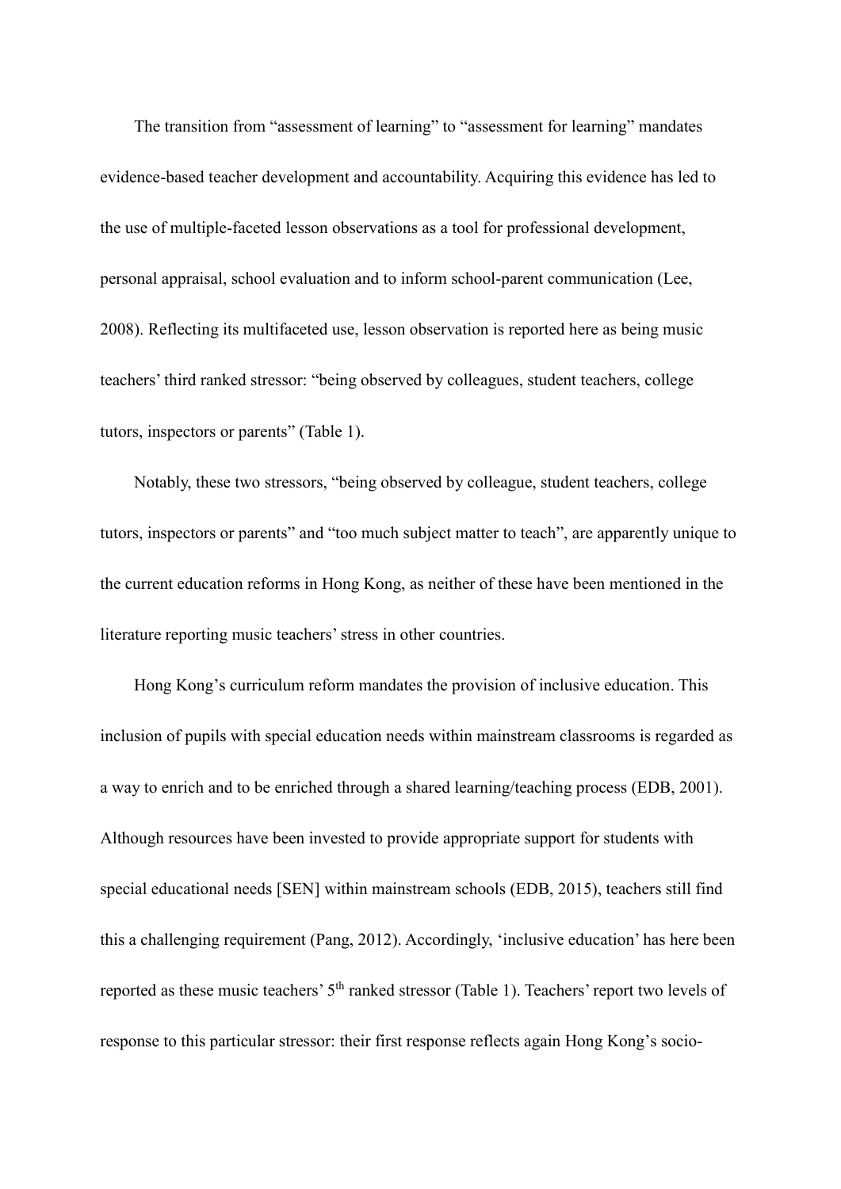The transition from "assessment of learning" to "assessment for learning" mandates evidence-based teacher development and accountability. Acquiring this evidence has led to the use of multiple-faceted lesson observations as a tool for professional development, personal appraisal, school evaluation and to inform school-parent communication (Lee, 2008). Reflecting its multifaceted use, lesson observation is reported here as being music teachers' third ranked stressor: "being observed by colleagues, student teachers, college tutors, inspectors or parents" (Table 1).

Notably, these two stressors, "being observed by colleague, student teachers, college tutors, inspectors or parents" and "too much subject matter to teach", are apparently unique to the current education reforms in Hong Kong, as neither of these have been mentioned in the literature reporting music teachers' stress in other countries.

Hong Kong's curriculum reform mandates the provision of inclusive education. This inclusion of pupils with special education needs within mainstream classrooms is regarded as a way to enrich and to be enriched through a shared learning/teaching process (EDB, 2001). Although resources have been invested to provide appropriate support for students with special educational needs [SEN] within mainstream schools (EDB, 2015), teachers still find this a challenging requirement (Pang, 2012). Accordingly, 'inclusive education' has here been reported as these music teachers' 5<sup>th</sup> ranked stressor (Table 1). Teachers' report two levels of response to this particular stressor: their first response reflects again Hong Kong's socio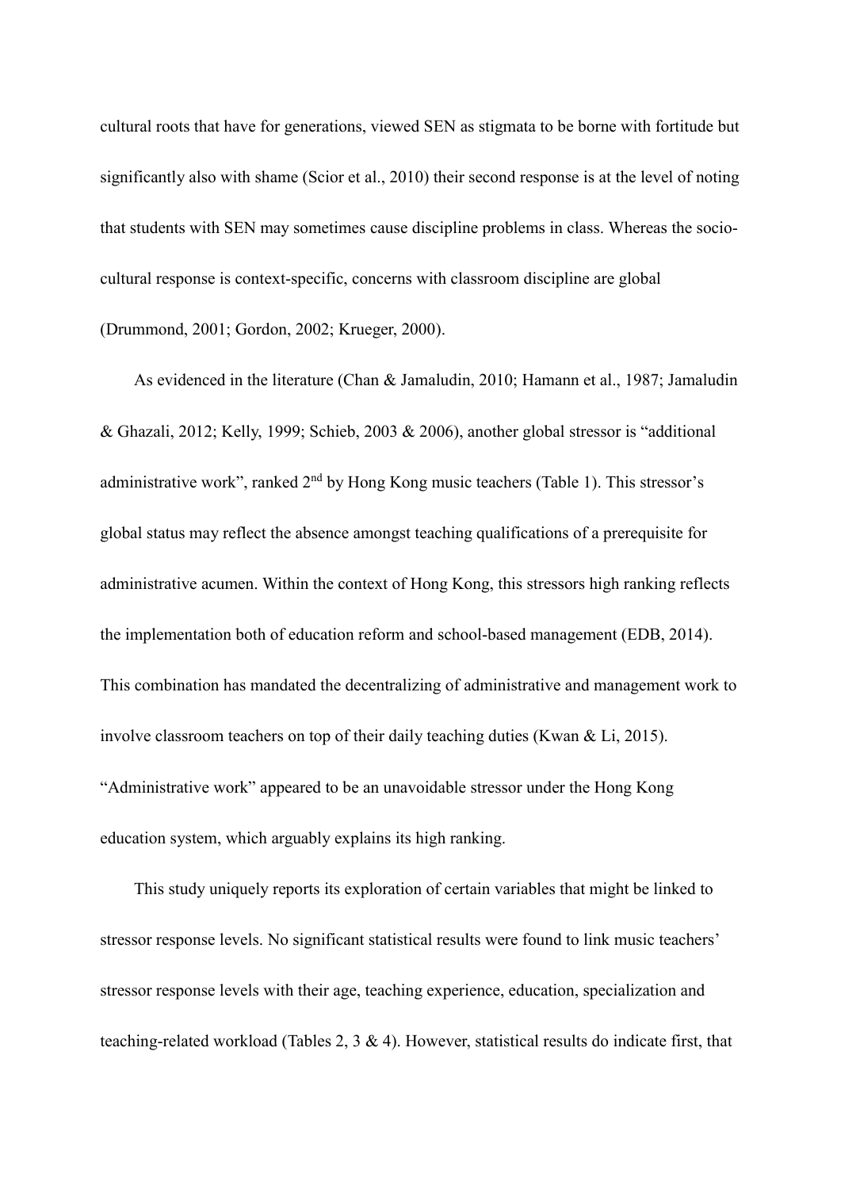cultural roots that have for generations, viewed SEN as stigmata to be borne with fortitude but significantly also with shame (Scior et al., 2010) their second response is at the level of noting that students with SEN may sometimes cause discipline problems in class. Whereas the sociocultural response is context-specific, concerns with classroom discipline are global (Drummond, 2001; Gordon, 2002; Krueger, 2000).

As evidenced in the literature (Chan & Jamaludin, 2010; Hamann et al., 1987; Jamaludin & Ghazali, 2012; Kelly, 1999; Schieb, 2003 & 2006), another global stressor is "additional administrative work", ranked 2<sup>nd</sup> by Hong Kong music teachers (Table 1). This stressor's global status may reflect the absence amongst teaching qualifications of a prerequisite for administrative acumen. Within the context of Hong Kong, this stressors high ranking reflects the implementation both of education reform and school-based management (EDB, 2014). This combination has mandated the decentralizing of administrative and management work to involve classroom teachers on top of their daily teaching duties (Kwan & Li, 2015). "Administrative work" appeared to be an unavoidable stressor under the Hong Kong education system, which arguably explains its high ranking.

This study uniquely reports its exploration of certain variables that might be linked to stressor response levels. No significant statistical results were found to link music teachers' stressor response levels with their age, teaching experience, education, specialization and teaching-related workload (Tables 2, 3 & 4). However, statistical results do indicate first, that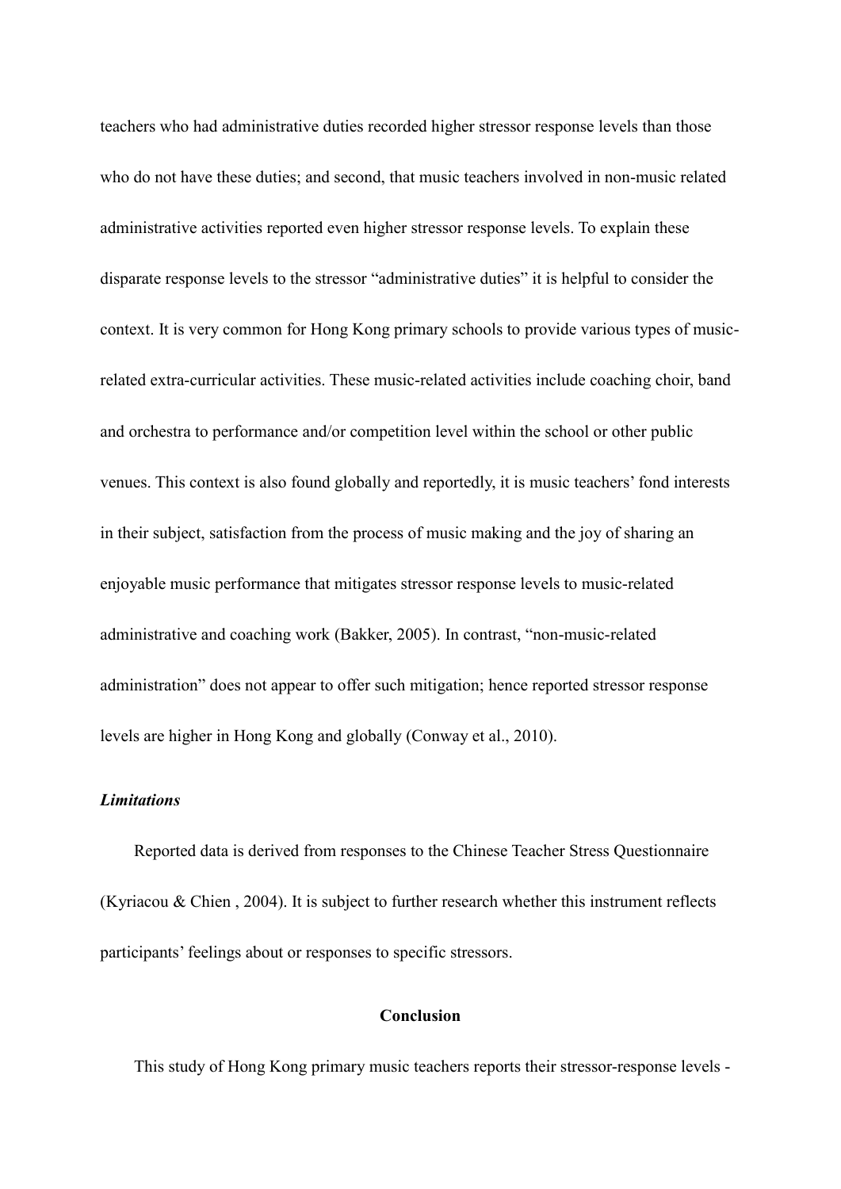teachers who had administrative duties recorded higher stressor response levels than those who do not have these duties; and second, that music teachers involved in non-music related administrative activities reported even higher stressor response levels. To explain these disparate response levels to the stressor "administrative duties" it is helpful to consider the context. It is very common for Hong Kong primary schools to provide various types of musicrelated extra-curricular activities. These music-related activities include coaching choir, band and orchestra to performance and/or competition level within the school or other public venues. This context is also found globally and reportedly, it is music teachers' fond interests in their subject, satisfaction from the process of music making and the joy of sharing an enjoyable music performance that mitigates stressor response levels to music-related administrative and coaching work (Bakker, 2005). In contrast, "non-music-related administration" does not appear to offer such mitigation; hence reported stressor response levels are higher in Hong Kong and globally (Conway et al., 2010).

## *Limitations*

Reported data is derived from responses to the Chinese Teacher Stress Questionnaire (Kyriacou & Chien , 2004). It is subject to further research whether this instrument reflects participants' feelings about or responses to specific stressors.

## **Conclusion**

This study of Hong Kong primary music teachers reports their stressor-response levels -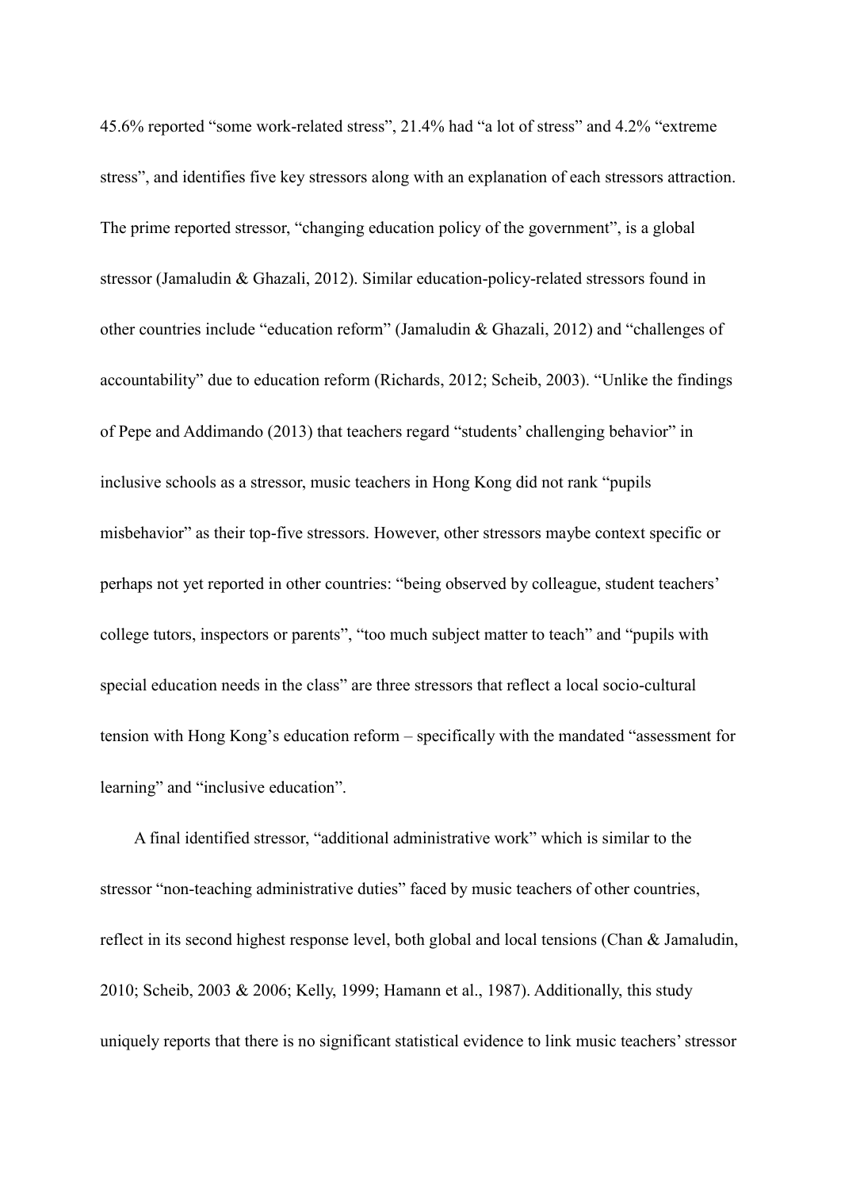45.6% reported "some work-related stress", 21.4% had "a lot of stress" and 4.2% "extreme stress", and identifies five key stressors along with an explanation of each stressors attraction. The prime reported stressor, "changing education policy of the government", is a global stressor (Jamaludin & Ghazali, 2012). Similar education-policy-related stressors found in other countries include "education reform" (Jamaludin & Ghazali, 2012) and "challenges of accountability" due to education reform (Richards, 2012; Scheib, 2003). "Unlike the findings of Pepe and Addimando (2013) that teachers regard "students' challenging behavior" in inclusive schools as a stressor, music teachers in Hong Kong did not rank "pupils misbehavior" as their top-five stressors. However, other stressors maybe context specific or perhaps not yet reported in other countries: "being observed by colleague, student teachers' college tutors, inspectors or parents", "too much subject matter to teach" and "pupils with special education needs in the class" are three stressors that reflect a local socio-cultural tension with Hong Kong's education reform – specifically with the mandated "assessment for learning" and "inclusive education".

A final identified stressor, "additional administrative work" which is similar to the stressor "non-teaching administrative duties" faced by music teachers of other countries, reflect in its second highest response level, both global and local tensions (Chan & Jamaludin, 2010; Scheib, 2003 & 2006; Kelly, 1999; Hamann et al., 1987). Additionally, this study uniquely reports that there is no significant statistical evidence to link music teachers' stressor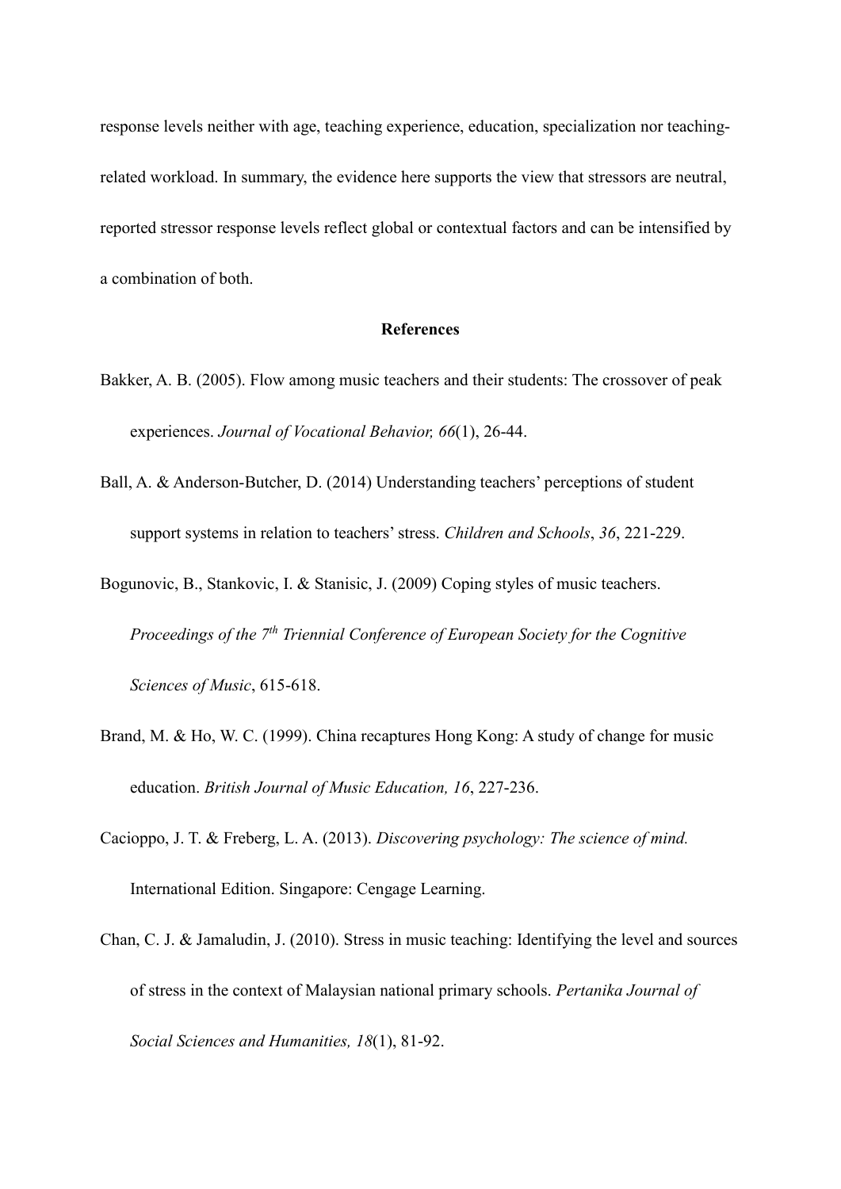response levels neither with age, teaching experience, education, specialization nor teachingrelated workload. In summary, the evidence here supports the view that stressors are neutral, reported stressor response levels reflect global or contextual factors and can be intensified by a combination of both.

### **References**

- Bakker, A. B. (2005). Flow among music teachers and their students: The crossover of peak experiences. *Journal of Vocational Behavior, 66*(1), 26-44.
- Ball, A. & Anderson-Butcher, D. (2014) Understanding teachers' perceptions of student support systems in relation to teachers' stress. *Children and Schools*, *36*, 221-229.
- Bogunovic, B., Stankovic, I. & Stanisic, J. (2009) Coping styles of music teachers. *Proceedings of the 7th Triennial Conference of European Society for the Cognitive Sciences of Music*, 615-618.
- Brand, M. & Ho, W. C. (1999). China recaptures Hong Kong: A study of change for music education. *British Journal of Music Education, 16*, 227-236.
- Cacioppo, J. T. & Freberg, L. A. (2013). *Discovering psychology: The science of mind.* International Edition. Singapore: Cengage Learning.
- Chan, C. J. & Jamaludin, J. (2010). Stress in music teaching: Identifying the level and sources of stress in the context of Malaysian national primary schools. *Pertanika Journal of Social Sciences and Humanities, 18*(1), 81-92.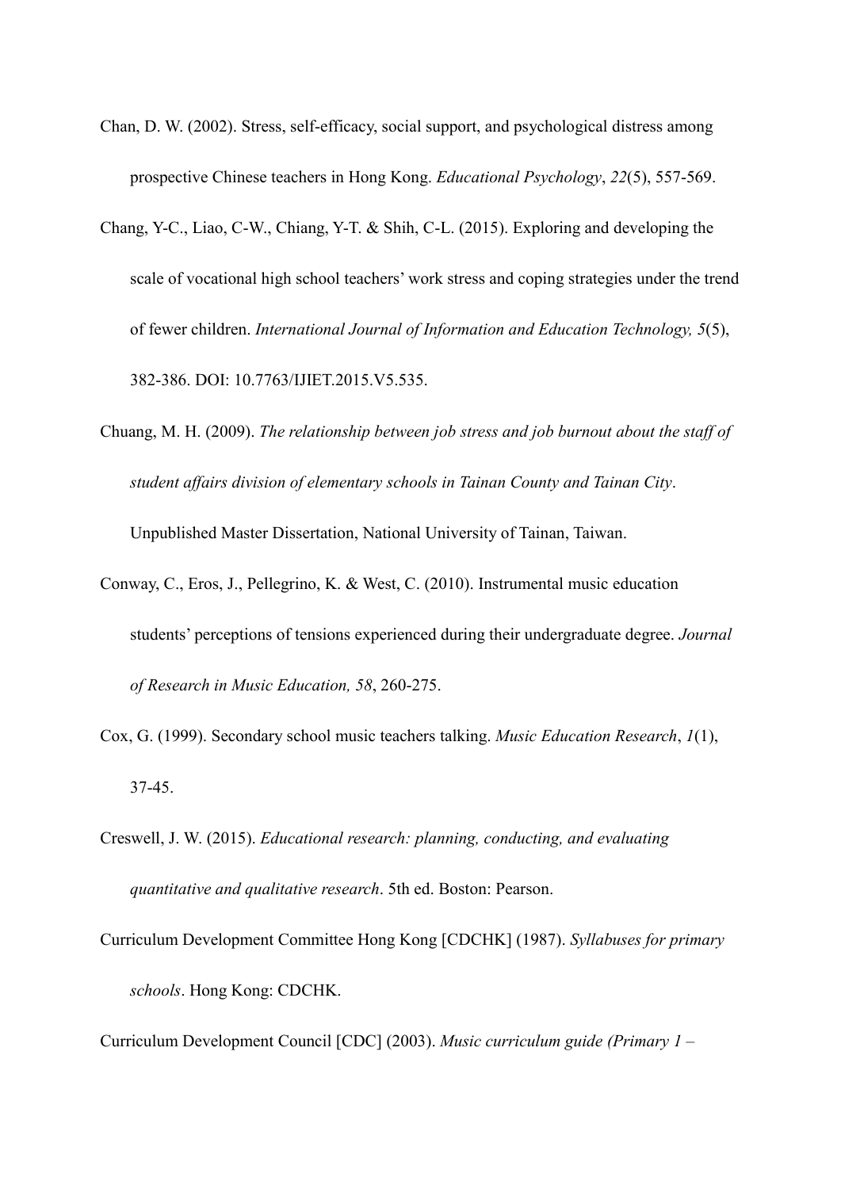- Chan, D. W. (2002). Stress, self-efficacy, social support, and psychological distress among prospective Chinese teachers in Hong Kong. *Educational Psychology*, *22*(5), 557-569.
- Chang, Y-C., Liao, C-W., Chiang, Y-T. & Shih, C-L. (2015). Exploring and developing the scale of vocational high school teachers' work stress and coping strategies under the trend of fewer children. *International Journal of Information and Education Technology, 5*(5), 382-386. DOI: 10.7763/IJIET.2015.V5.535.
- Chuang, M. H. (2009). *The relationship between job stress and job burnout about the staff of student affairs division of elementary schools in Tainan County and Tainan City*. Unpublished Master Dissertation, National University of Tainan, Taiwan.
- Conway, C., Eros, J., Pellegrino, K. & West, C. (2010). Instrumental music education students' perceptions of tensions experienced during their undergraduate degree. *Journal of Research in Music Education, 58*, 260-275.
- Cox, G. (1999). Secondary school music teachers talking. *Music Education Research*, *1*(1), 37-45.
- Creswell, J. W. (2015). *Educational research: planning, conducting, and evaluating quantitative and qualitative research*. 5th ed. Boston: Pearson.
- Curriculum Development Committee Hong Kong [CDCHK] (1987). *Syllabuses for primary schools*. Hong Kong: CDCHK.

Curriculum Development Council [CDC] (2003). *Music curriculum guide (Primary 1 –*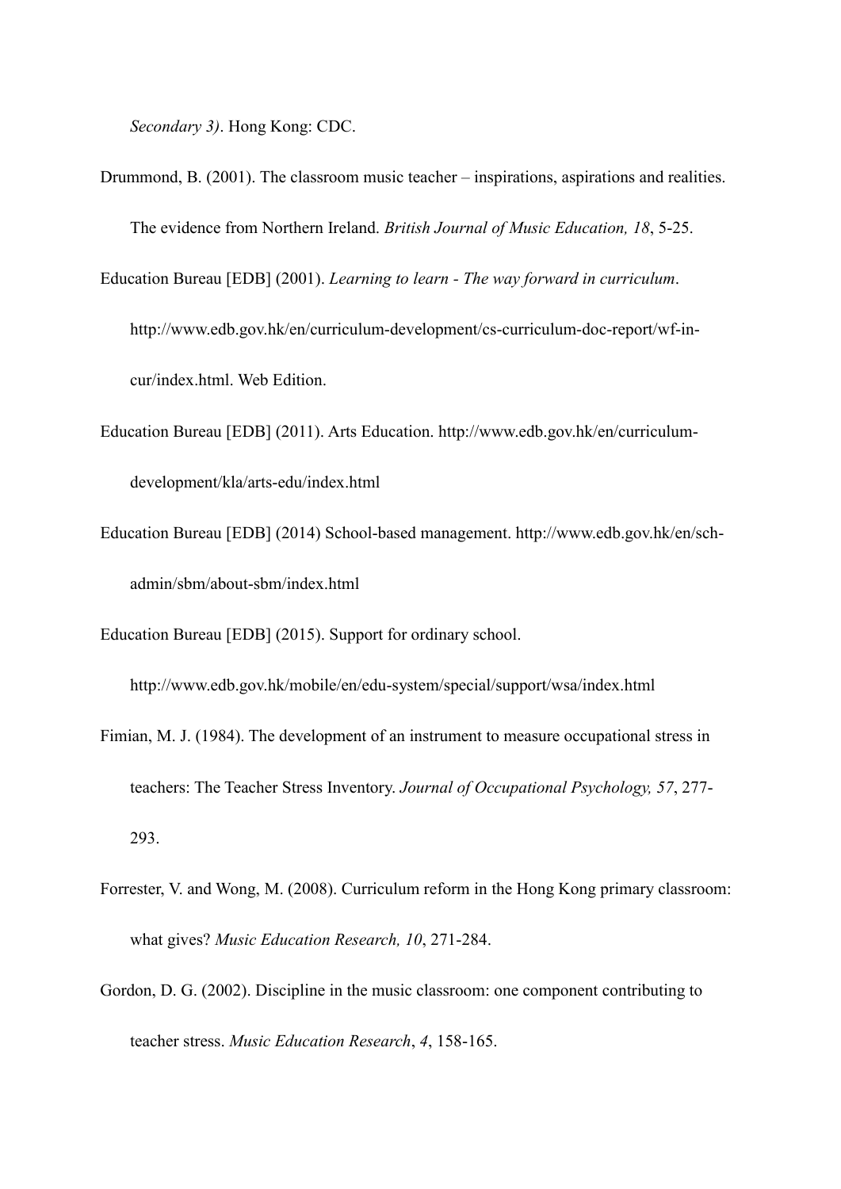*Secondary 3)*. Hong Kong: CDC.

Drummond, B. (2001). The classroom music teacher – inspirations, aspirations and realities. The evidence from Northern Ireland. *British Journal of Music Education, 18*, 5-25.

Education Bureau [EDB] (2001). *Learning to learn - The way forward in curriculum*.

http://www.edb.gov.hk/en/curriculum-development/cs-curriculum-doc-report/wf-incur/index.html. Web Edition.

- Education Bureau [EDB] (2011). Arts Education. http://www.edb.gov.hk/en/curriculumdevelopment/kla/arts-edu/index.html
- Education Bureau [EDB] (2014) School-based management. [http://www.edb.gov.hk/en/sch](http://www.edb.gov.hk/en/sch-admin/sbm/about-sbm/index.html)[admin/sbm/about-sbm/index.html](http://www.edb.gov.hk/en/sch-admin/sbm/about-sbm/index.html)

Education Bureau [EDB] (2015). Support for ordinary school.

<http://www.edb.gov.hk/mobile/en/edu-system/special/support/wsa/index.html>

- Fimian, M. J. (1984). The development of an instrument to measure occupational stress in teachers: The Teacher Stress Inventory. *Journal of Occupational Psychology, 57*, 277- 293.
- Forrester, V. and Wong, M. (2008). Curriculum reform in the Hong Kong primary classroom: what gives? *Music Education Research, 10*, 271-284.
- Gordon, D. G. (2002). Discipline in the music classroom: one component contributing to teacher stress. *Music Education Research*, *4*, 158-165.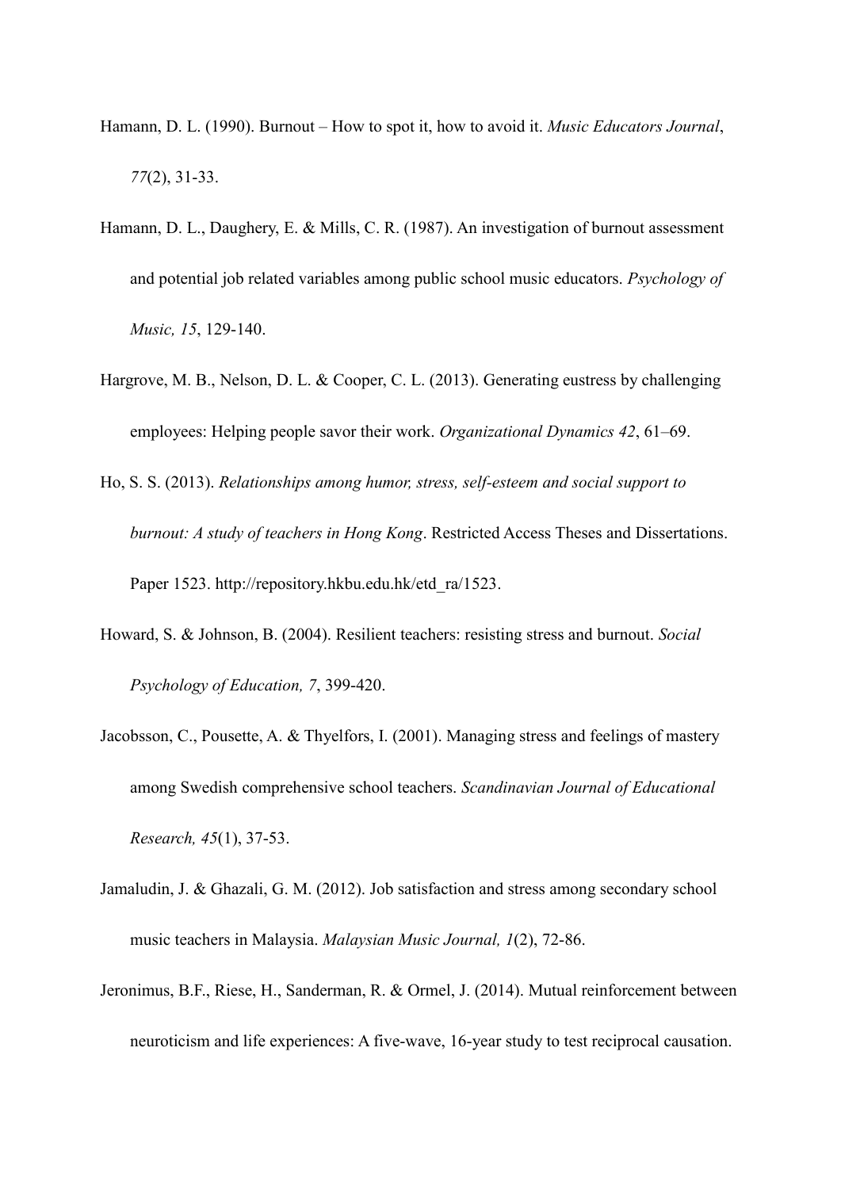- Hamann, D. L. (1990). Burnout How to spot it, how to avoid it. *Music Educators Journal*, *77*(2), 31-33.
- Hamann, D. L., Daughery, E. & Mills, C. R. (1987). An investigation of burnout assessment and potential job related variables among public school music educators. *Psychology of Music, 15*, 129-140.
- Hargrove, M. B., Nelson, D. L. & Cooper, C. L. (2013). Generating eustress by challenging employees: Helping people savor their work. *Organizational Dynamics 42*, 61–69.
- Ho, S. S. (2013). *Relationships among humor, stress, self-esteem and social support to burnout: A study of teachers in Hong Kong*. Restricted Access Theses and Dissertations. Paper 1523. [http://repository.hkbu.edu.hk/etd\\_ra/1523.](http://repository.hkbu.edu.hk/etd_ra/1523)
- Howard, S. & Johnson, B. (2004). Resilient teachers: resisting stress and burnout. *Social Psychology of Education, 7*, 399-420.
- Jacobsson, C., Pousette, A. & Thyelfors, I. (2001). Managing stress and feelings of mastery among Swedish comprehensive school teachers. *Scandinavian Journal of Educational Research, 45*(1), 37-53.
- Jamaludin, J. & Ghazali, G. M. (2012). Job satisfaction and stress among secondary school music teachers in Malaysia. *Malaysian Music Journal, 1*(2), 72-86.
- Jeronimus, B.F., Riese, H., Sanderman, R. & Ormel, J. (2014). Mutual reinforcement between neuroticism and life experiences: A five-wave, 16-year study to test reciprocal causation.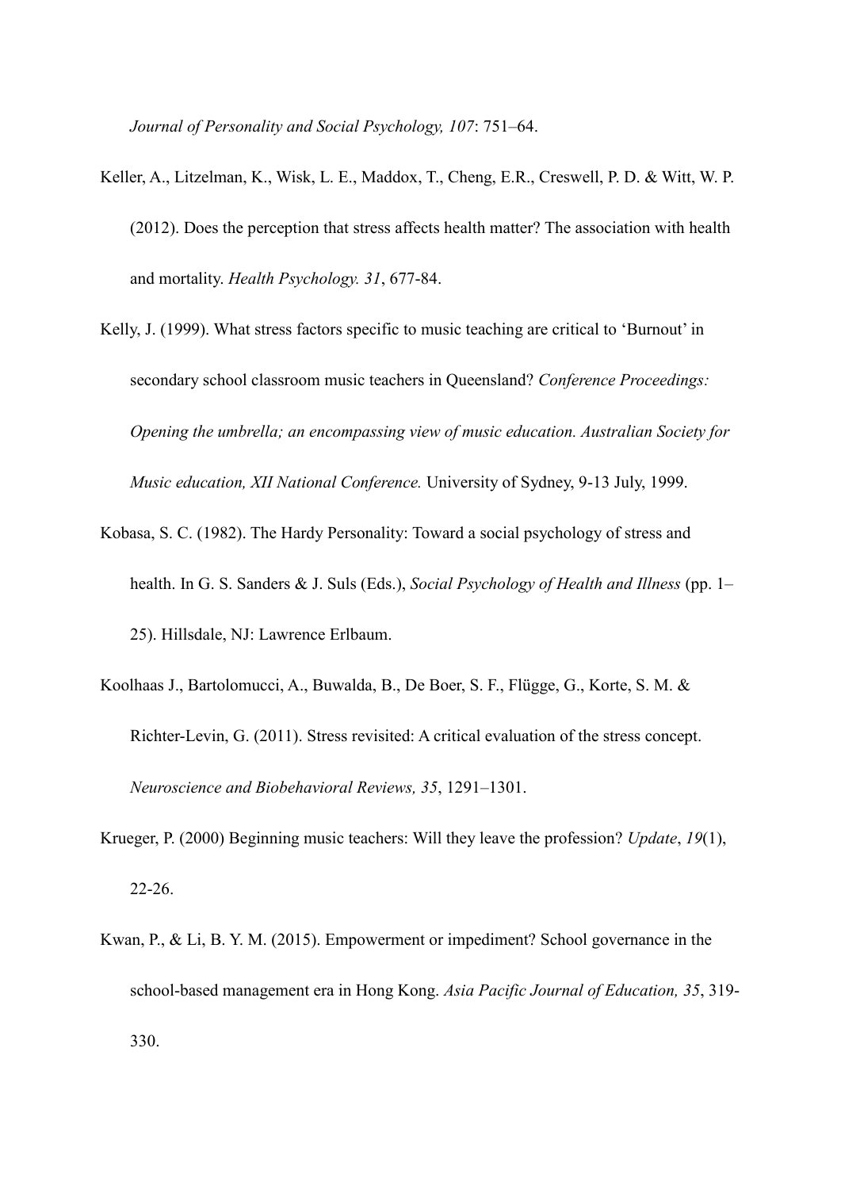*Journal of Personality and Social Psychology, 107*: 751–64.

- Keller, A., Litzelman, K., Wisk, L. E., Maddox, T., Cheng, E.R., Creswell, P. D. & Witt, W. P. (2012). Does the perception that stress affects health matter? The association with health and mortality. *Health Psychology. 31*, 677-84.
- Kelly, J. (1999). What stress factors specific to music teaching are critical to 'Burnout' in secondary school classroom music teachers in Queensland? *Conference Proceedings: Opening the umbrella; an encompassing view of music education. Australian Society for Music education, XII National Conference.* University of Sydney, 9-13 July, 1999.
- Kobasa, S. C. (1982). The Hardy Personality: Toward a social psychology of stress and health. In G. S. Sanders & J. Suls (Eds.), *Social Psychology of Health and Illness* (pp. 1– 25). Hillsdale, NJ: Lawrence Erlbaum.
- Koolhaas J., Bartolomucci, A., Buwalda, B., De Boer, S. F., Flügge, G., Korte, S. M. & Richter-Levin, G. (2011). Stress revisited: A critical evaluation of the stress concept. *Neuroscience and Biobehavioral Reviews, 35*, 1291–1301.
- Krueger, P. (2000) Beginning music teachers: Will they leave the profession? *Update*, *19*(1), 22-26.
- Kwan, P., & Li, B. Y. M. (2015). Empowerment or impediment? School governance in the school-based management era in Hong Kong. *Asia Pacific Journal of Education, 35*, 319- 330.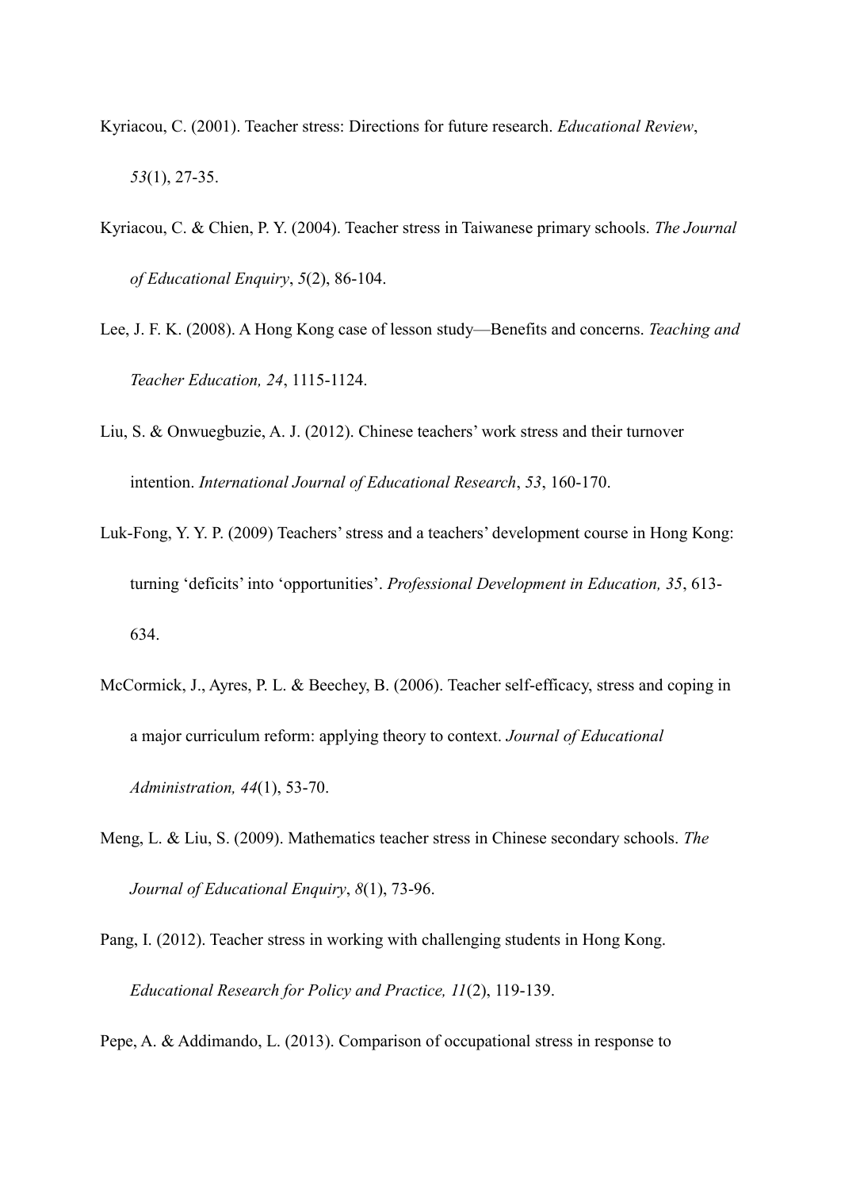- Kyriacou, C. (2001). Teacher stress: Directions for future research. *Educational Review*, *53*(1), 27-35.
- Kyriacou, C. & Chien, P. Y. (2004). Teacher stress in Taiwanese primary schools. *The Journal of Educational Enquiry*, *5*(2), 86-104.
- Lee, J. F. K. (2008). A Hong Kong case of lesson study—Benefits and concerns. *Teaching and Teacher Education, 24*, 1115-1124.
- Liu, S. & Onwuegbuzie, A. J. (2012). Chinese teachers' work stress and their turnover intention. *International Journal of Educational Research*, *53*, 160-170.
- Luk-Fong, Y. Y. P. (2009) Teachers' stress and a teachers' development course in Hong Kong: turning 'deficits' into 'opportunities'. *Professional Development in Education, 35*, 613- 634.
- McCormick, J., Ayres, P. L. & Beechey, B. (2006). Teacher self-efficacy, stress and coping in a major curriculum reform: applying theory to context. *Journal of Educational Administration, 44*(1), 53-70.
- Meng, L. & Liu, S. (2009). Mathematics teacher stress in Chinese secondary schools. *The Journal of Educational Enquiry*, *8*(1), 73-96.
- Pang, I. (2012). Teacher stress in working with challenging students in Hong Kong. *Educational Research for Policy and Practice, 11*(2), 119-139.

Pepe, A. & Addimando, L. (2013). Comparison of occupational stress in response to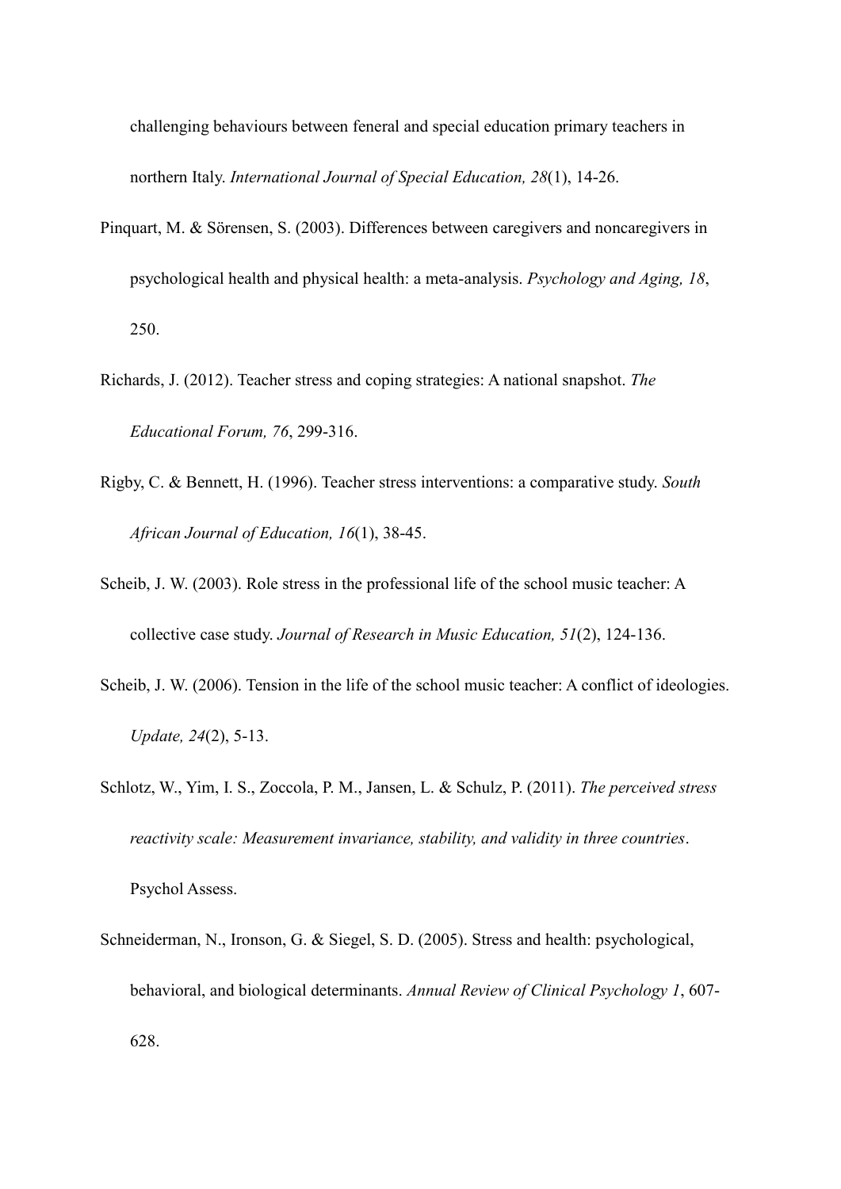challenging behaviours between feneral and special education primary teachers in northern Italy. *International Journal of Special Education, 28*(1), 14-26.

- Pinquart, M. & Sörensen, S. (2003). Differences between caregivers and noncaregivers in psychological health and physical health: a meta-analysis. *Psychology and Aging, 18*, 250.
- Richards, J. (2012). Teacher stress and coping strategies: A national snapshot. *The Educational Forum, 76*, 299-316.
- Rigby, C. & Bennett, H. (1996). Teacher stress interventions: a comparative study. *South African Journal of Education, 16*(1), 38-45.
- Scheib, J. W. (2003). Role stress in the professional life of the school music teacher: A collective case study. *Journal of Research in Music Education, 51*(2), 124-136.
- Scheib, J. W. (2006). Tension in the life of the school music teacher: A conflict of ideologies. *Update, 24*(2), 5-13.
- Schlotz, W., Yim, I. S., Zoccola, P. M., Jansen, L. & Schulz, P. (2011). *The perceived stress reactivity scale: Measurement invariance, stability, and validity in three countries*. Psychol Assess.
- Schneiderman, N., Ironson, G. & Siegel, S. D. (2005). Stress and health: psychological, behavioral, and biological determinants. *Annual Review of Clinical Psychology 1*, 607- 628.